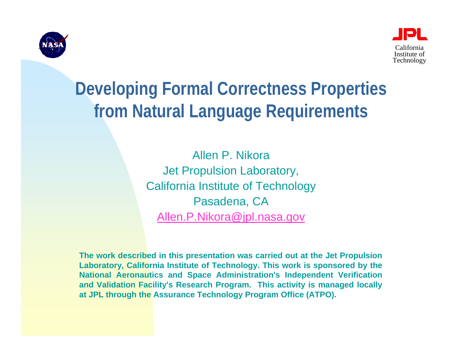



### **Developing Formal Correctness Properties from Natural Language Requirements**

Allen P. NikoraJet Propulsion Laboratory, California Institute of Technology Pasadena, CA [Allen.P.Nikora@jpl.nasa.gov](mailto:Allen.P.Nikora@jpl.nasa.gov)

**The work described in this presentation was carried out at the Jet Propulsion Laboratory, California Institute of Technology. This work is sponsored by the National Aeronautics and Space Administration's Independent Verification and Validation Facility's Research Program. This activity is managed locally at JPL through the Assurance Technology Program Office (ATPO).**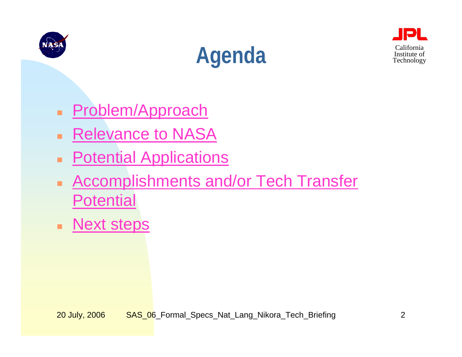<span id="page-1-0"></span>





- **[Problem/Approach](#page-2-0)**
- ٠ [Relevance to NASA](#page-3-0)
- ٠ [Potential Applications](#page-6-0)
- $\blacksquare$  [Accomplishments and/or Tech Transfer](#page-4-0)  [Potential](#page-4-0)
- **[Next steps](#page-5-0)**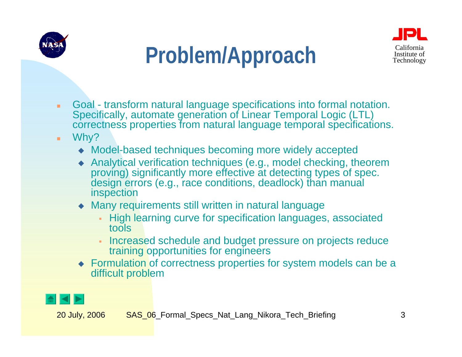<span id="page-2-0"></span>





- ٠ Goal - transform natural language specifications into formal notation. Specifically, automate generation of Linear Temporal Logic (LTL) correctness properties from natural language temporal specifications.
- ٠ Why?
	- Model-based techniques becoming more widely accepted
	- $\begin{array}{c} \bullet \\ \bullet \end{array}$  Analytical verification techniques (e.g., model checking, theorem proving) significantly more effective at detecting types of spec. design errors (e.g., race conditions, deadlock) than manual inspection
	- Many requirements still written in natural language
		- High learning curve for specification languages, associated tools
		- Increased schedule and budget pressure on projects reduce training opportunities for engineers
	- Formulation of correctness properties for system models can be a difficult problem

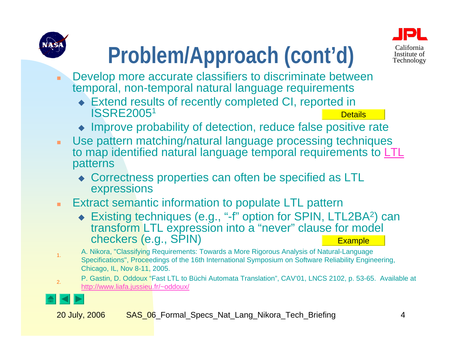# **[Problem/Approach \(cont'd\)](#page-2-0)** Exaltornia

- <span id="page-3-0"></span> $\mathbf{r}$  Develop more accurate classifiers to discriminate between temporal, non-temporal natural language requirements
	- Extend results of recently completed CI, reported in ISSRE20051 **[Details](#page-8-0)**
	- Improve probability of detection, reduce false positive rate
- $\mathbf{r}$  Use pattern matching/natural language processing techniques to map identified natural language temporal requirements to [LTL](#page-15-0) patterns
	- Correctness properties can often be specified as LTL expressions
- $\blacksquare$  Extract semantic information to populate LTL pattern
	- ◆ Existing techniques (e.g., "-f" option for SPIN, LTL2BA<sup>2</sup>) can transform LTL expression into a "never" clause for model checkers (e.g., SPIN) **[Example](#page-12-0)**
	- A. Nikora, "Classifying Requirements: Towards a More Rigorous Analysis of Natural-Language Specifications", Proceedings of the 16th International Symposium on Software Reliability Engineering, Chicago, IL, Nov 8-11, 2005.
	- P. Gastin, D. Oddoux "Fast LTL to Büchi Automata Translation", CAV'01, LNCS 2102, p. 53-65. Available at <http://www.liafa.jussieu.fr/~oddoux/>



1.

2.

California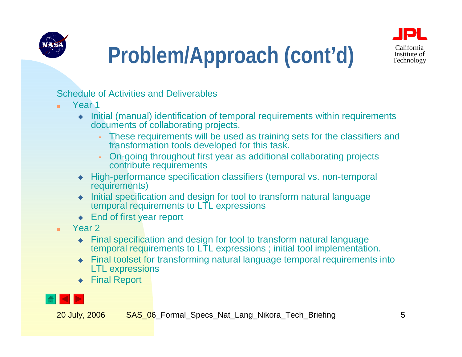<span id="page-4-0"></span>



# Problem/Approach (cont'd) Technology

Schedule of Activities and Deliverables

- ×. Year 1
	- ♦ Initial (manual) identification of temporal requirements within requirements documents of collaborating projects.
		- These requirements will be used as training sets for the classifiers and transformation tools developed for this task.
		- On-going throughout first year as additional collaborating projects contribute requirements
	- High-performance specification classifiers (temporal vs. non-temporal requirements)
	- $\blacklozenge$  Initial specification and design for tool to transform natural language temporal requirements to LTL expressions
	- ◆ End of first year report
- ٠ Year 2
	- Final specification and design for tool to transform natural language temporal requirements to LTL expressions ; initial tool implementation.
	- Final toolset for transforming natural language temporal requirements into LTL expressions
	- ♦ Final Report

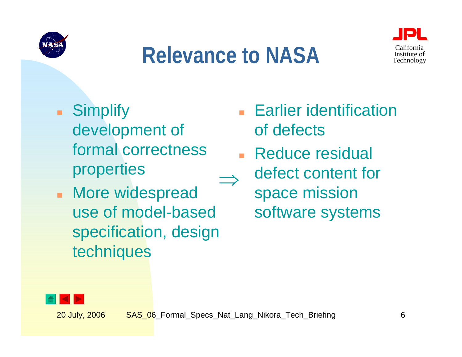<span id="page-5-0"></span>

### **Relevance to NASA**



- a. **Simplify** development of formal correctness properties
- $\mathbf{r}$  More widespread use of model-based specification, design techniques
- Earlier identification of defects
- П Reduce residual defect content for space mission software systems ⇒

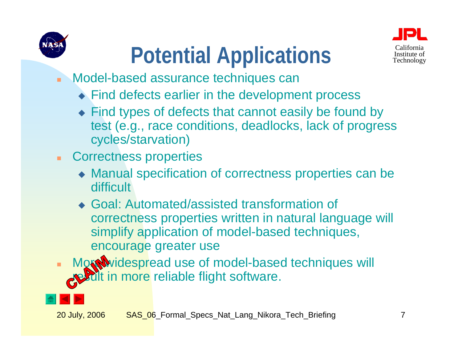<span id="page-6-0"></span>



- **Potential Applications** Technology
- ٠ Model-based assurance techniques can
	- ◆ Find defects earlier in the development process
	- Find types of defects that cannot easily be found by [test \(e.g., race conditions, deadlocks, lack of progress](#page-2-0)  cycles/starvation)
- ٠ Correctness properties
	- Manual specification of correctness properties can be difficult
	- Goal: Automated/assisted transformation of correctness properties written in natural language will simplify application of model-based techniques, encourage greater use
- ä, Mort widespread use of model-based techniques will in more reliable flight software.

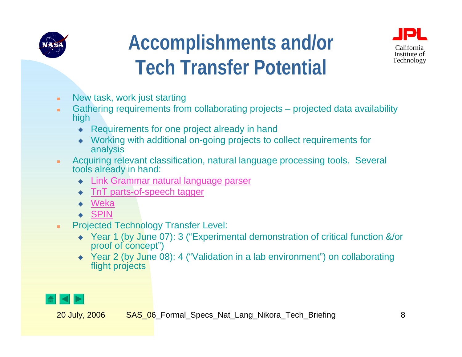

### **Accomplishments and/or Tech Transfer Potential**



- ٠ New task, work just starting
- ٠ Gathering requirements from collaborating projects – projected data availability high
	- ♦ Requirements for one project already in hand
	- ♦ Working with additional on-going projects to collect requirements for analysis
- ٠ Acquiring relevant classification, natural language processing tools. Several tools already in hand:
	- ♦ [Link Grammar natural language parser](http://bobo.link.cs.cmu.edu/link/)
	- $\bullet$ TnT [parts-of-speech tagger](http://www.coli.uni-saarland.de/~thorsten/tnt/)
	- ♦ [Weka](http://www.cs.waikato.ac.nz/ml/weka/)
	- ♦ [SPIN](http://spinroot.com/spin/whatispin.html)
- ٠ Projected Technology Transfer Level:
	- Year 1 (by June 07): 3 ("Experimental demonstration of critical function &/or proof of concept")
	- ◆ Year 2 (by June 08): 4 ("Validation in a lab environment") on collaborating flight projects

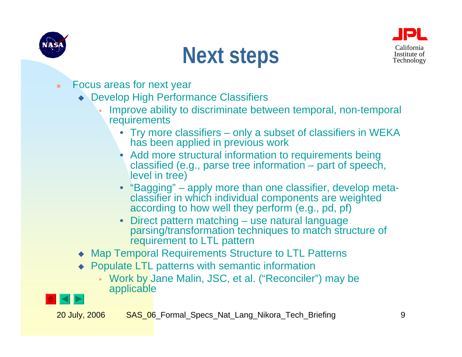<span id="page-8-0"></span>

### **Next steps** Technology



- ٠ Focus areas for next year
	- Develop High Performance Classifiers
		- [Improve ability to discriminate between temporal, non-temporal](#page-2-0)  **requirements** 
			- • Try more classifiers – only a subset of classifiers in WEKA has been applied in previous work
			- Add more structural information to requirements being classified (e.g., parse tree information – part of speech, level in tree)
			- "Bagging" apply more than one classifier, develop metaclassifier in which individual components are weighted according to how well they perform (e.g., pd, pf)
			- Direct pattern matching use natural language parsing/transformation techniques to match structure of requirement to LTL pattern
	- Map Temporal Requirements Structure to LTL Patterns
	- ◆ Populate LTL patterns with semantic information
		- Work by Jane Malin, JSC, et al. ("Reconciler") may be applicable

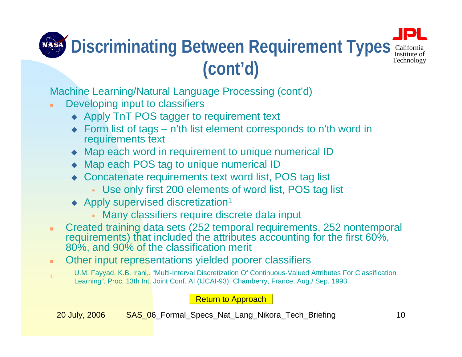#### California Institute of Technology **Discriminating Between Requirement Types (cont'd)**

Machine Learning/Natural Language Processing (cont'd)

- Developing input to classifiers
	- ◆ Apply TnT POS tagger to requirement text
	- ◆ Form list of tags n'th list element corresponds to n'th word in requirements text
	- Map each word in requirement to unique numerical ID
	- ◆ Map each POS tag to unique numerical ID
	- ◆ Concatenate requirements text word list, POS tag list
		- Use only first 200 elements of word list, POS tag list
	- ◆ Apply supervised discretization<sup>1</sup>
		- Many classifiers require discrete data input
- Created training data sets (252 temporal requirements, 252 nontemporal requirements) that included the attributes accounting for the first 60%, 80%, and 90% of the classification merit
- ٠ Other input representations yielded poorer classifiers
- 1. [U.M. Fayyad, K.B. Irani,. "Multi-Interval Discretization Of Continuous-Valued Attributes For Classification](#page-3-0)  Learning", Proc. 13th Int. Joint Conf. AI (IJCAI-93), Chamberry, France, Aug./ Sep. 1993.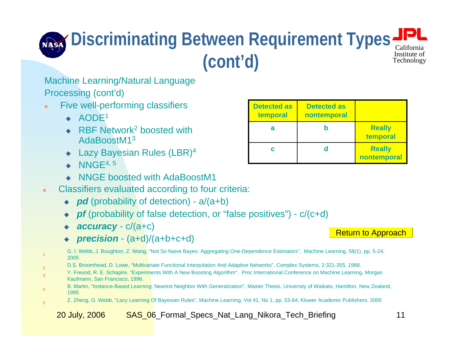#### California Institute of Technology **Discriminating Between Requirement Types (cont'd)**

### Machine Learning/Natural Language

Processing (cont'd)

- ×. Five well-performing classifiers
	- $\triangleleft$  AODE<sup>1</sup>
	- $\blacklozenge$ ◆ RBF Network<sup>2</sup> boosted with AdaBoostM1<sup>3</sup>
	- ◆ Lazy Bayesian Rules (LBR)<sup>4</sup>
	- $\blacklozenge$  NNGE<sup>4, 5</sup>

1.

2.

3.

4.

5.

- ♦ NNGE boosted with AdaBoostM1
- ٠ Classifiers evaluated according to four criteria:
	- ◆ *pd* (probability of detection) a/(a+b)
	- ♦ *pf* (probability of false detection, or "false positives") - c/(c+d)
	- ◆ accuracy c/(a+c)
	- $\blacklozenge$ *precision* - (a+d)/(a+b+c+d)
	- G. I. Webb, J. Boughton, Z. Wang, "Not So Naive Bayes: Aggregating One-Dependence Estimators", Machine Learning, 58(1), pp. 5-24, 2005
	- D.S. Broomhead, D. Lowe, "Multivariate Functional Interpolation And Adaptive Networks", Complex Systems, 2:321-355, 1988.
	- Y. Freund, R. E. Schapire. "Experiments With A New Boosting Algorithm". Proc International Conference on Machine Learning, Morgan Kaufmann, San Francisco, 1996.
	- B. Martin, "Instance-Based Learning: Nearest Neighbor With Generalization", Master Thesis, University of Waikato, Hamilton, New Zealand, 1995
		- Z. Zheng, G. Webb, "Lazy Learning Of Bayesian Rules", Machine Learning, Vol 41, No 1, pp. 53-84, Kluwer Academic Publishers, 2000

| <b>Detected as</b><br>temporal | <b>Detected as</b><br>nontemporal |                              |
|--------------------------------|-----------------------------------|------------------------------|
| а                              |                                   | <b>Really</b><br>temporal    |
| C                              |                                   | <b>Really</b><br>nontemporal |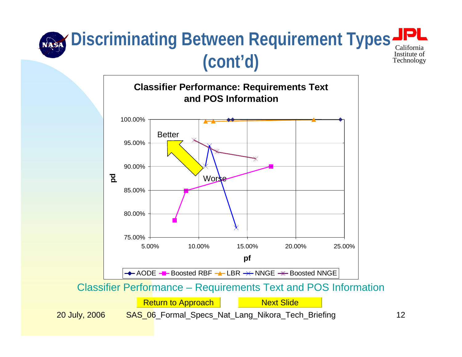#### <span id="page-11-0"></span>Californi Institute of Technology **Discriminating Between Requirement Types (cont'd)**

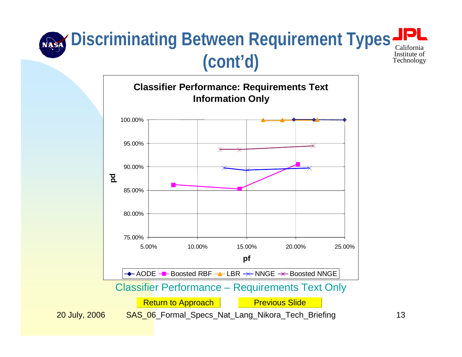#### <span id="page-12-0"></span>California Institute of Technology **Discriminating Between Requirement Types (cont'd)**

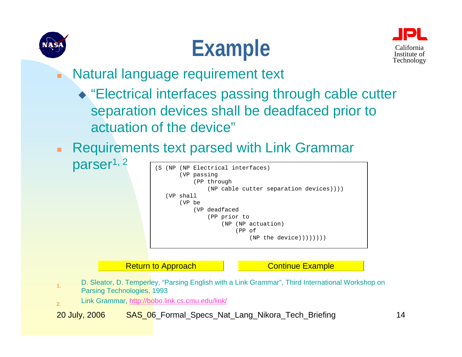





- n Natural language requirement text
	- ◆ "Electrical interfaces passing through cable cutter separation devices shall be deadfaced prior to actuation of the device"
- п Requirements text parsed with Link Grammar



[Return to Approach](#page-3-0)

[Continue Example](#page-14-0)

- 1. D. Sleator, D. Temperley, "Parsing English with a Link Grammar", Third International Workshop on Parsing Technologies, 1993
- 2.Link Grammar, <http://bobo.link.cs.cmu.edu/link/>

parser<sup>1, 2</sup>

20 July, 2006 SAS 06 Formal Specs Nat Lang Nikora Tech Briefing 14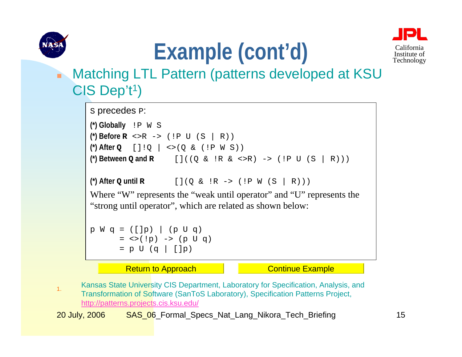<span id="page-14-0"></span>

# Example (cont'd) California



#### n Matching LTL Pattern (patterns developed at KSU CIS Dep't<sup>1</sup>)

```
s precedes P:
(*) Globally !P W S
(*) Before 
R <>R -> (!P U (S | R))
(*) After 
Q []!Q | <>(Q & (!P W S))
(*) Between 
Q and 
R []((Q & !R & <>R) -> (!P U (S | R)))
(*) After 
Q until 
R [](Q & !R -> (!P W (S | R)))
Where "W" represents the "weak until operator" and "U" represents the
"strong until operator", which are related as shown below:
p W q = ([p]) | (p U q)= <>(!p) -> (p U q)
       = p U (q \vert []p)
```
[Return to Approach](#page-3-0) **[Continue Example](#page-15-0)** 

1. Kansas State University CIS Department, Laboratory for Specification, Analysis, and Transformation of Software (SanToS Laboratory), Specification Patterns Project, http://patterns.projects.cis.ksu.edu/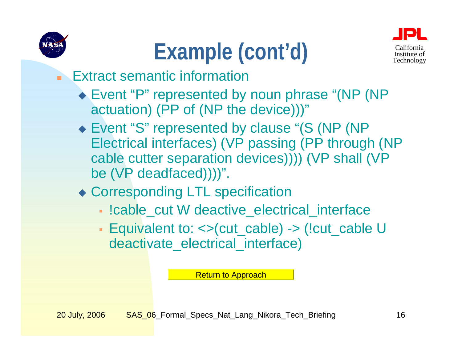<span id="page-15-0"></span>

# Example (cont'd) California



### Extract semantic information

- ◆ Event "P" represented by noun phrase "(NP (NP actuation) (PP of (NP the device)))"
- ◆ Event "S" represented by clause "(S (NP (NP) Electrical interfaces) (VP passing (PP through (NP cable cutter separation devices)))) (VP shall (VP be (VP deadfaced))))".
- Corresponding LTL specification
	- !cable\_cut W deactive\_electrical\_interface
	- Equivalent to: <>(cut\_cable) -> (!cut\_cable U deactivate\_electrical\_interface)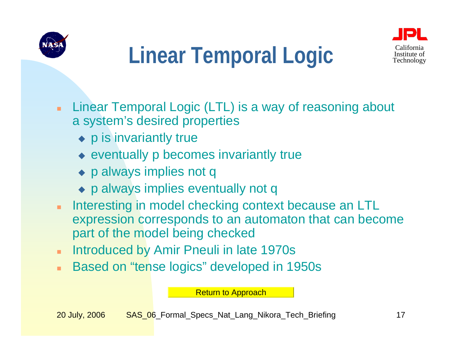<span id="page-16-0"></span>



### Linear Temporal Logic Technology

- ٠ Linear Temporal Logic (LTL) is a way of reasoning about a system's desired properties
	- ◆ p is invariantly true
	- eventually p becomes invariantly true
	- ◆ p always implies not q
	- p always implies eventually not q
- ٠ Interesting in model checking context because an LTL expression corresponds to an automaton that can become part of the model being checked
- ٠ Introduced by Amir Pneuli in late 1970s
- ٠ Based on "tense logics" developed in 1950s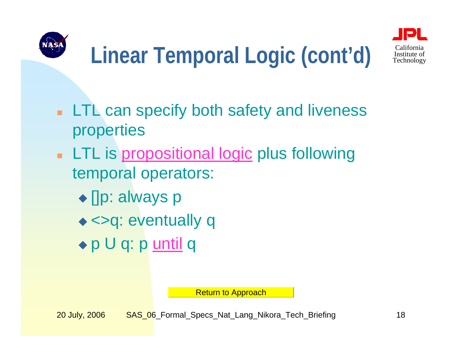



### Linear Temporal Logic (cont'd) **Institute of** Leakhology

- **LTL can specify both safety and liveness** properties
- **LTL** is [propositional logic](#page-21-0) plus following temporal operators:
	- ◆ []p: always p
	- ◆ <>q: eventually q
	- ◆ p U q: p <u>[until](#page-22-0)</u> q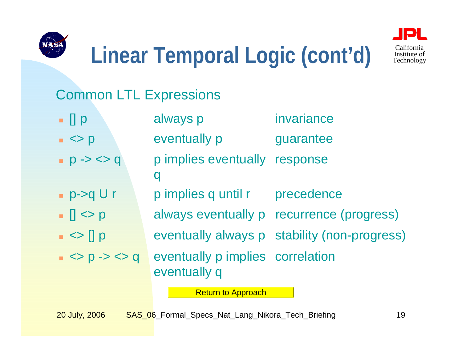

 $p > q U r$ 

 $\vert \vert \vert \langle \rangle \vert$ 

 $\vert \cdot \vert$   $\vert$   $\vert$   $\vert$   $\vert$   $\vert$   $\vert$ 

 $\rightarrow$  <> 0 -> <> q



### Linear Temporal Logic (cont'd) **Institute of** Leakhology

### Common LTL Expressions

- $\blacksquare$   $\blacksquare$   $\blacksquare$   $\blacksquare$ always p invariance
- $\vert \vert \vert \langle \rangle \vert$ eventually p guarantee
- $p \rightarrow \ll 0$ p implies eventually q response
	- p implies q until r precedence
	- always eventually p recurrence (progress)
		- eventually always p stability (non-progress)
- <> p -> <> q eventually p implies correlation eventually q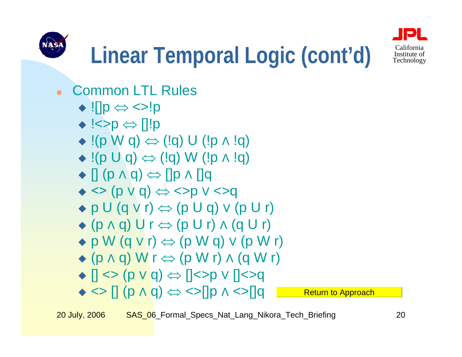



- $\blacksquare$  Common LTL Rules
	- ![]p ⇔ <>!p
	- !<>p ⇔ []!p
	- $\bullet$  !(p W q)  $\Leftrightarrow$  (!q) U (!p ^ !q)
	- $\bullet$  !(p U q)  $\Leftrightarrow$  (!q) W (!p ∧ !q)
	- $\blacklozenge$  [] (p  $\land$  q)  $\Leftrightarrow$  []p  $\land$  []q
	- $\leftrightarrow$  <> (p v q)  $\Leftrightarrow$  <>p v <>q
	- $\bullet$  p U (q v r)  $\Leftrightarrow$  (p U q) v (p U r)
	- $\bullet$  (p  $\land$  q) U r  $\Leftrightarrow$  (p U r)  $\land$  (q U r)
	- $\bullet$  p W (q v r)  $\Leftrightarrow$  (p W q) v (p W r)
	- $\bullet$  (p  $\land$  q) W r  $\Leftrightarrow$  (p W r)  $\land$  (q W r)
	- $\blacklozenge$  [] <> (p v q)  $\Leftrightarrow$  []<>p v []<>q
	- $\leftrightarrow$   $\leftrightarrow$   $[ ] (p \land q) \Leftrightarrow$   $\leftrightarrow$   $[ ]p \land$ **[Return to Approach](#page-3-0)**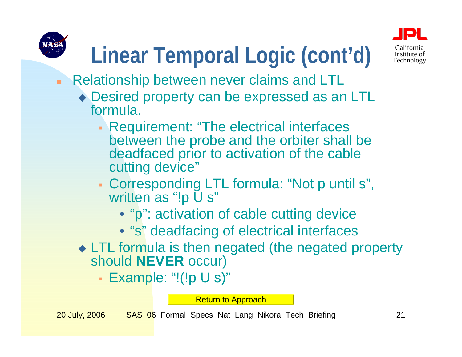

# Linear Temporal Logic (cont'd) Sultorius of

#### $\mathbf{r}$ Relationship between never claims and LTL

- ◆ Desired property can be expressed as an LTL formula.
	- Requirement: "The electrical interfaces between the probe and the orbiter shall be deadfaced prior to activation of the cable cutting device"
	- Corresponding LTL formula: "Not p until s", written as "!p U s"
		- "p": activation of cable cutting device
		- "s" deadfacing of electrical interfaces
- ◆ LTL formula is then negated (the negated property should **NEVER** occur)
	- Example: "!(!p U s)"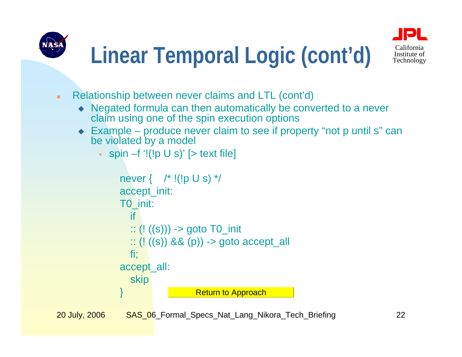<span id="page-21-0"></span>



- ٠ Relationship between never claims and LTL (cont'd)
	- Negated formula can then automatically be converted to a never claim using one of the spin execution options
	- ◆ Example produce never claim to see if property "not p until s" can be violated by a model
		- spin –f '!(!p U s)' [> text file]

```
never { /* !(!p U s) */accept_init:
T0_init:
  if:: (! ((s))) -> goto T0_init
  :: (|(s)| 88 (p)) -> goto accept all
  fi;
accept_all:
  skip
                  Return to Approach
```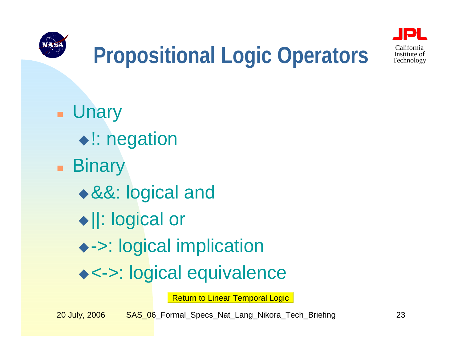<span id="page-22-0"></span>



### **Propositional Logic Operators** Institute of

 Unary ◆ !: negation **■ Binary** &&: logical and ||: logical or ->: logical implication <->: logical equivalence

[Return to Linear Temporal Logic](#page-16-0)

20 July, 2006 SAS 06 Formal Specs Nat Lang Nikora Tech Briefing 23